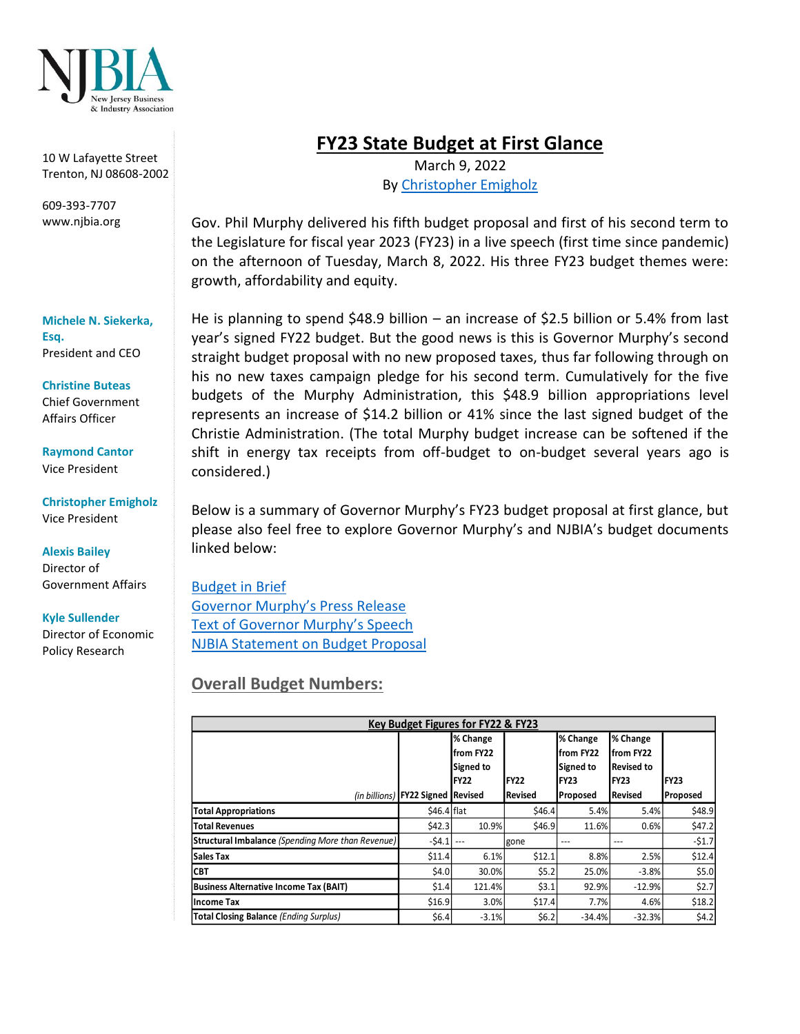

10 W Lafayette Street Trenton, NJ 08608-2002

609-393-7707 www.njbia.org

#### **Michele N. Siekerka, Esq.** President and CEO

**Christine Buteas** Chief Government Affairs Officer

**Raymond Cantor** Vice President

**Christopher Emigholz** Vice President

#### **Alexis Bailey**

Director of Government Affairs

#### **Kyle Sullender**

Director of Economic Policy Research

# **FY23 State Budget at First Glance**

March 9, 2022 By [Christopher Emigholz](https://njbia.org/author/cemigholznjbia-org/)

Gov. Phil Murphy delivered his fifth budget proposal and first of his second term to the Legislature for fiscal year 2023 (FY23) in a live speech (first time since pandemic) on the afternoon of Tuesday, March 8, 2022. His three FY23 budget themes were: growth, affordability and equity.

He is planning to spend \$48.9 billion – an increase of \$2.5 billion or 5.4% from last year's signed FY22 budget. But the good news is this is Governor Murphy's second straight budget proposal with no new proposed taxes, thus far following through on his no new taxes campaign pledge for his second term. Cumulatively for the five budgets of the Murphy Administration, this \$48.9 billion appropriations level represents an increase of \$14.2 billion or 41% since the last signed budget of the Christie Administration. (The total Murphy budget increase can be softened if the shift in energy tax receipts from off-budget to on-budget several years ago is considered.)

Below is a summary of Governor Murphy's FY23 budget proposal at first glance, but please also feel free to explore Governor Murphy's and NJBIA's budget documents linked below:

[Budget in Brief](https://www.nj.gov/treasury/omb/publications/23bib/BIB.pdf) [Governor Murphy's Press Release](https://nj.gov/governor/news/news/562022/approved/20220308c.shtml) [Text of Governor Murphy's Speech](https://nj.gov/governor/news/news/562022/approved/20220308b.shtml) [NJBIA Statement on](https://njbia.org/njbia-reaction-to-governors-budget-address/) Budget Proposal

### **Overall Budget Numbers:**

| Key Budget Figures for FY22 & FY23                       |                                   |            |             |             |                   |          |
|----------------------------------------------------------|-----------------------------------|------------|-------------|-------------|-------------------|----------|
|                                                          |                                   | % Change   |             | % Change    | % Change          |          |
|                                                          |                                   | lfrom FY22 |             | lfrom FY22  | from FY22         |          |
|                                                          |                                   | Signed to  |             | Signed to   | <b>Revised to</b> |          |
|                                                          |                                   | IFY22      | <b>FY22</b> | <b>FY23</b> | FY23              | IFY23    |
|                                                          | (in billions) FY22 Signed Revised |            | Revised     | Proposed    | <b>Revised</b>    | Proposed |
| <b>Total Appropriations</b>                              | \$46.4 flat                       |            | \$46.4      | 5.4%        | 5.4%              | \$48.9   |
| <b>Total Revenues</b>                                    | \$42.3                            | 10.9%      | \$46.9      | 11.6%       | 0.6%              | \$47.2   |
| <b>Structural Imbalance (Spending More than Revenue)</b> | $-54.1$                           |            | gone        | ---         | $- - -$           | $-51.7$  |
| <b>Sales Tax</b>                                         | \$11.4                            | 6.1%       | \$12.1      | 8.8%        | 2.5%              | \$12.4   |
| <b>CBT</b>                                               | \$4.0                             | 30.0%      | \$5.2       | 25.0%       | $-3.8%$           | \$5.0    |
| <b>Business Alternative Income Tax (BAIT)</b>            | \$1.4                             | 121.4%     | \$3.1       | 92.9%       | $-12.9%$          | \$2.7    |
| Income Tax                                               | \$16.9                            | 3.0%       | \$17.4      | 7.7%        | 4.6%              | \$18.2   |
| <b>Total Closing Balance (Ending Surplus)</b>            | \$6.4]                            | $-3.1%$    | \$6.2       | $-34.4%$    | $-32.3%$          | \$4.2    |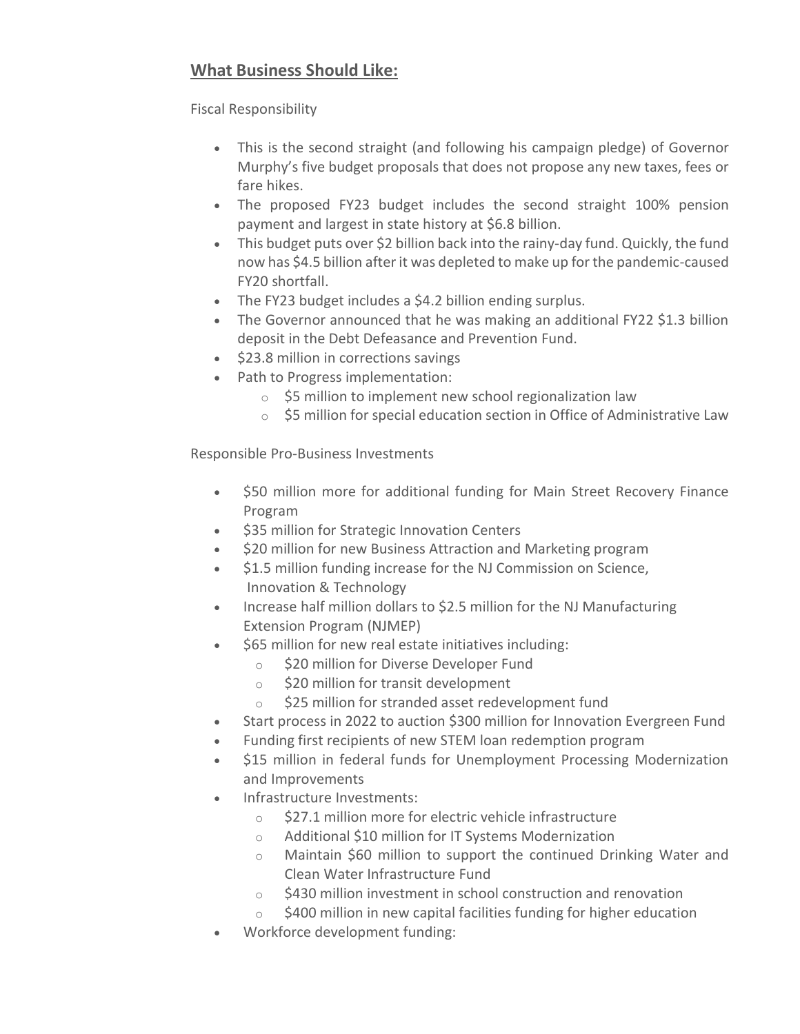## **What Business Should Like:**

Fiscal Responsibility

- This is the second straight (and following his campaign pledge) of Governor Murphy's five budget proposals that does not propose any new taxes, fees or fare hikes.
- The proposed FY23 budget includes the second straight 100% pension payment and largest in state history at \$6.8 billion.
- This budget puts over \$2 billion back into the rainy-day fund. Quickly, the fund now has \$4.5 billion after it was depleted to make up for the pandemic-caused FY20 shortfall.
- The FY23 budget includes a \$4.2 billion ending surplus.
- The Governor announced that he was making an additional FY22 \$1.3 billion deposit in the Debt Defeasance and Prevention Fund.
- \$23.8 million in corrections savings
- Path to Progress implementation:
	- o \$5 million to implement new school regionalization law
	- o \$5 million for special education section in Office of Administrative Law

Responsible Pro-Business Investments

- \$50 million more for additional funding for Main Street Recovery Finance Program
- \$35 million for Strategic Innovation Centers
- \$20 million for new Business Attraction and Marketing program
- \$1.5 million funding increase for the NJ Commission on Science, Innovation & Technology
- Increase half million dollars to \$2.5 million for the NJ Manufacturing Extension Program (NJMEP)
- \$65 million for new real estate initiatives including:
	- o \$20 million for Diverse Developer Fund
	- o \$20 million for transit development
	- o \$25 million for stranded asset redevelopment fund
- Start process in 2022 to auction \$300 million for Innovation Evergreen Fund
- Funding first recipients of new STEM loan redemption program
- \$15 million in federal funds for Unemployment Processing Modernization and Improvements
- Infrastructure Investments:
	- $\circ$  \$27.1 million more for electric vehicle infrastructure
	- o Additional \$10 million for IT Systems Modernization
	- o Maintain \$60 million to support the continued Drinking Water and Clean Water Infrastructure Fund
	- $\circ$  \$430 million investment in school construction and renovation
	- $\circ$  \$400 million in new capital facilities funding for higher education
- Workforce development funding: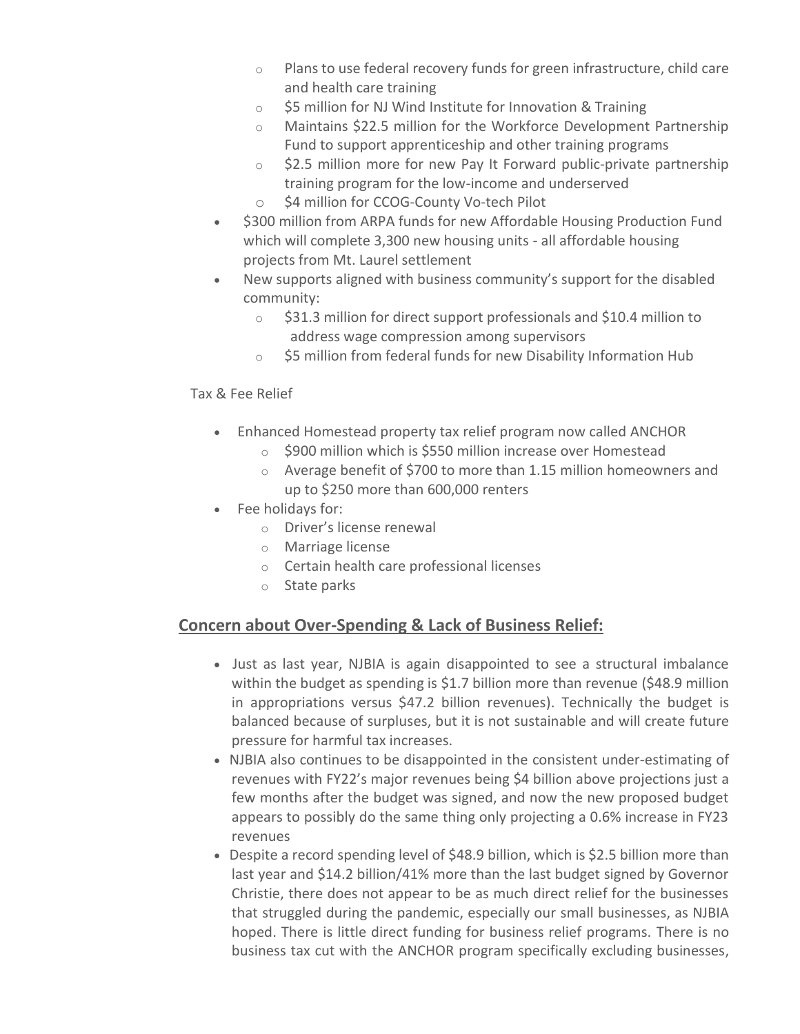- $\circ$  Plans to use federal recovery funds for green infrastructure, child care and health care training
- o \$5 million for NJ Wind Institute for Innovation & Training
- o Maintains \$22.5 million for the Workforce Development Partnership Fund to support apprenticeship and other training programs
- $\circ$  \$2.5 million more for new Pay It Forward public-private partnership training program for the low-income and underserved
- o \$4 million for CCOG-County Vo-tech Pilot
- \$300 million from ARPA funds for new Affordable Housing Production Fund which will complete 3,300 new housing units - all affordable housing projects from Mt. Laurel settlement
- New supports aligned with business community's support for the disabled community:
	- $\circ$  \$31.3 million for direct support professionals and \$10.4 million to address wage compression among supervisors
	- o \$5 million from federal funds for new Disability Information Hub

#### Tax & Fee Relief

- Enhanced Homestead property tax relief program now called ANCHOR
	- o \$900 million which is \$550 million increase over Homestead
	- o Average benefit of \$700 to more than 1.15 million homeowners and up to \$250 more than 600,000 renters
- Fee holidays for:
	- o Driver's license renewal
	- o Marriage license
	- o Certain health care professional licenses
	- o State parks

### **Concern about Over-Spending & Lack of Business Relief:**

- Just as last year, NJBIA is again disappointed to see a structural imbalance within the budget as spending is \$1.7 billion more than revenue (\$48.9 million in appropriations versus \$47.2 billion revenues). Technically the budget is balanced because of surpluses, but it is not sustainable and will create future pressure for harmful tax increases.
- NJBIA also continues to be disappointed in the consistent under-estimating of revenues with FY22's major revenues being \$4 billion above projections just a few months after the budget was signed, and now the new proposed budget appears to possibly do the same thing only projecting a 0.6% increase in FY23 revenues
- Despite a record spending level of \$48.9 billion, which is \$2.5 billion more than last year and \$14.2 billion/41% more than the last budget signed by Governor Christie, there does not appear to be as much direct relief for the businesses that struggled during the pandemic, especially our small businesses, as NJBIA hoped. There is little direct funding for business relief programs. There is no business tax cut with the ANCHOR program specifically excluding businesses,